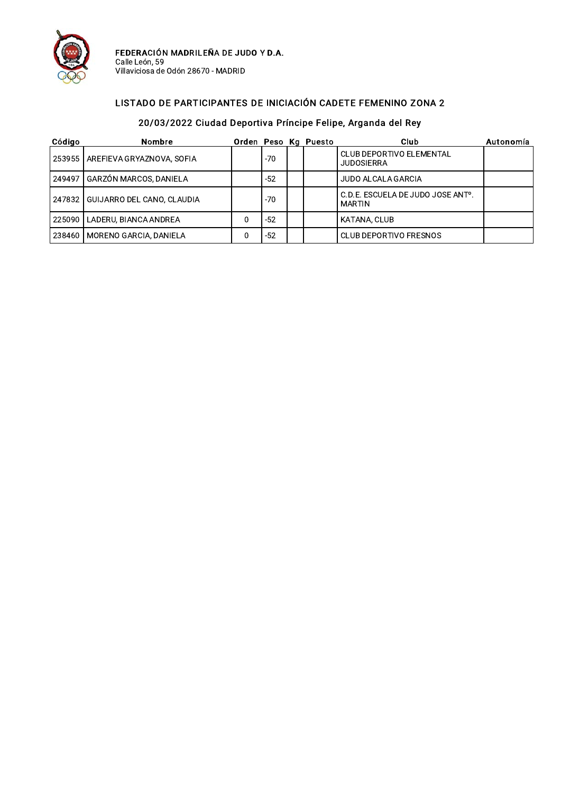

FEDERACIÓN MADRILEÑA DE JUDO Y D.A.<br>Calle León, 59<br>Villaviciosa de Odón 28670 - MADRID

#### LISTADO DE PARTICIPANTES DE INICIACIÓN CADETE FEMENINO ZONA 2

| Código | Nombre                              |       | Orden Peso Kg Puesto | Club                                                     | Autonomía |
|--------|-------------------------------------|-------|----------------------|----------------------------------------------------------|-----------|
|        | 253955   AREFIEVA GRYAZNOVA, SOFIA  | -70   |                      | <b>CLUB DEPORTIVO ELEMENTAL</b><br><b>JUDOSIERRA</b>     |           |
|        | 249497 GARZÓN MARCOS, DANIELA       | -52   |                      | JUDO ALCALA GARCIA                                       |           |
|        | 247832   GUIJARRO DEL CANO, CLAUDIA | -70   |                      | C.D.E. ESCUELA DE JUDO JOSE ANT <sup>o</sup> .<br>MARTIN |           |
|        | 225090   LADERU, BIANCA ANDREA      | $-52$ |                      | KATANA, CLUB                                             |           |
|        | 238460   MORENO GARCIA, DANIELA     | $-52$ |                      | CLUB DEPORTIVO FRESNOS                                   |           |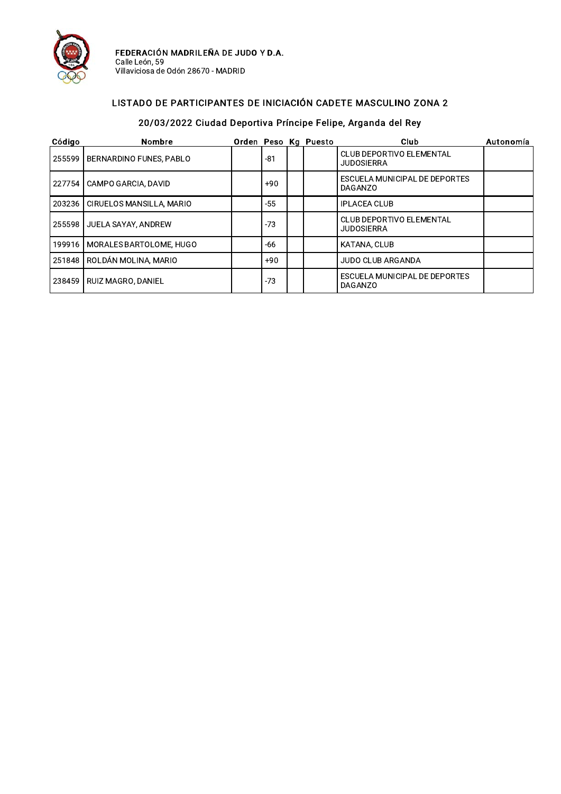

FEDERACIÓN MADRILEÑA DE JUDO Y D.A.<br>Calle León, 59<br>Villaviciosa de Odón 28670 - MADRID

#### LISTADO DE PARTICIPANTES DE INICIACIÓN CADETE MASCULINO ZONA 2

| Código | <b>Nombre</b>            |       | Orden Peso Kg Puesto | Club                                                 | Autonomía |
|--------|--------------------------|-------|----------------------|------------------------------------------------------|-----------|
| 255599 | BERNARDINO FUNES, PABLO  | $-81$ |                      | <b>CLUB DEPORTIVO ELEMENTAL</b><br><b>JUDOSIERRA</b> |           |
| 227754 | CAMPO GARCIA, DAVID      | $+90$ |                      | ESCUELA MUNICIPAL DE DEPORTES<br><b>DAGANZO</b>      |           |
| 203236 | CIRUELOS MANSILLA, MARIO | $-55$ |                      | <b>IPLACEA CLUB</b>                                  |           |
| 255598 | JUELA SAYAY, ANDREW      | $-73$ |                      | <b>CLUB DEPORTIVO ELEMENTAL</b><br><b>JUDOSIERRA</b> |           |
| 199916 | MORALES BARTOLOME, HUGO  | $-66$ |                      | <b>KATANA, CLUB</b>                                  |           |
| 251848 | ROLDÁN MOLINA, MARIO     | $+90$ |                      | <b>JUDO CLUB ARGANDA</b>                             |           |
| 238459 | RUIZ MAGRO, DANIEL       | $-73$ |                      | ESCUELA MUNICIPAL DE DEPORTES<br>DAGANZO             |           |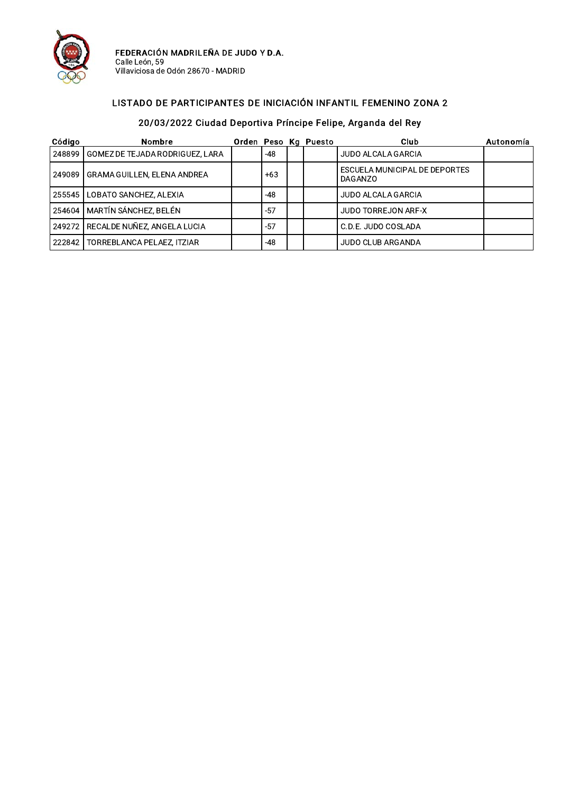

FEDERACIÓN MADRILEÑA DE JUDO Y D.A.<br>Calle León, 59<br>Villaviciosa de Odón 28670 - MADRID

#### LISTADO DE PARTICIPANTES DE INICIACIÓN INFANTIL FEMENINO ZONA 2

| Código | Nombre                                 |       | Orden Peso Kg Puesto | Club                                     | Autonomía |
|--------|----------------------------------------|-------|----------------------|------------------------------------------|-----------|
|        | 248899 GOMEZ DE TEJADA RODRIGUEZ, LARA | $-48$ |                      | JUDO ALCALA GARCIA                       |           |
|        | 249089   GRAMA GUILLEN, ELENA ANDREA   | $+63$ |                      | ESCUELA MUNICIPAL DE DEPORTES<br>DAGANZO |           |
|        | 255545   LOBATO SANCHEZ, ALEXIA        | -48   |                      | <b>JUDO ALCALA GARCIA</b>                |           |
|        | 254604   MARTÍN SÁNCHEZ, BELÉN         | $-57$ |                      | JUDO TORREJON ARF-X                      |           |
|        | 249272 RECALDE NUÑEZ, ANGELA LUCIA     | $-57$ |                      | C.D.E. JUDO COSLADA                      |           |
|        | 222842   TORREBLANCA PELAEZ, ITZIAR    | -48   |                      | JUDO CLUB ARGANDA                        |           |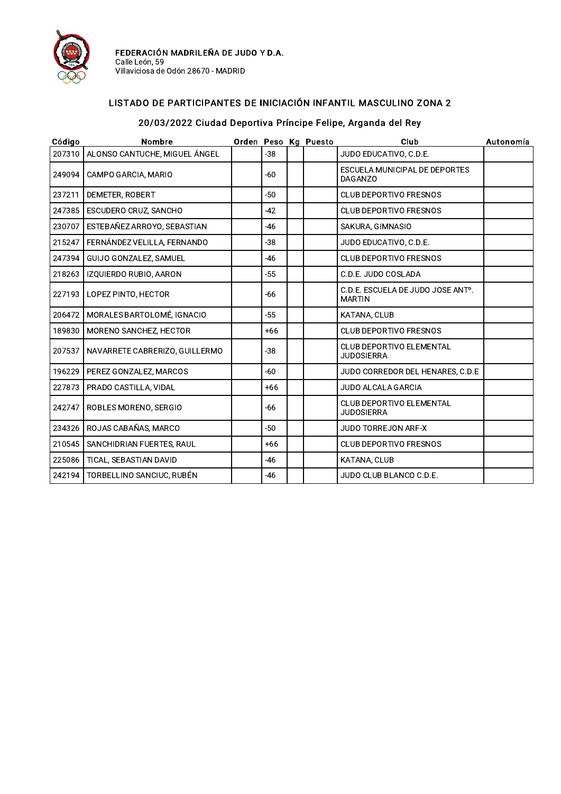

#### LISTADO DE PARTICIPANTES DE INICIACIÓN INFANTIL MASCULINO ZONA 2

| Código | Nombre                         |       | Orden Peso Kg Puesto | Club                                                 | Autonomía |
|--------|--------------------------------|-------|----------------------|------------------------------------------------------|-----------|
| 207310 | ALONSO CANTUCHE, MIGUEL ÁNGEL  | $-38$ |                      | JUDO EDUCATIVO, C.D.E.                               |           |
| 249094 | CAMPO GARCIA, MARIO            | -60   |                      | ESCUELA MUNICIPAL DE DEPORTES<br><b>DAGANZO</b>      |           |
| 237211 | DEMETER, ROBERT                | $-50$ |                      | <b>CLUB DEPORTIVO FRESNOS</b>                        |           |
| 247385 | ESCUDERO CRUZ, SANCHO          | $-42$ |                      | <b>CLUB DEPORTIVO FRESNOS</b>                        |           |
| 230707 | ESTEBAÑEZ ARROYO, SEBASTIAN    | -46   |                      | SAKURA, GIMNASIO                                     |           |
| 215247 | FERNÁNDEZ VELILLA, FERNANDO    | $-38$ |                      | JUDO EDUCATIVO, C.D.E.                               |           |
| 247394 | GUIJO GONZALEZ, SAMUEL         | -46   |                      | <b>CLUB DEPORTIVO FRESNOS</b>                        |           |
| 218263 | IZQUIERDO RUBIO, AARON         | $-55$ |                      | C.D.E. JUDO COSLADA                                  |           |
| 227193 | LOPEZ PINTO, HECTOR            | $-66$ |                      | C.D.E. ESCUELA DE JUDO JOSE ANTº.<br><b>MARTIN</b>   |           |
| 206472 | MORALES BARTOLOMÉ. IGNACIO     | $-55$ |                      | <b>KATANA, CLUB</b>                                  |           |
| 189830 | MORENO SANCHEZ, HECTOR         | $+66$ |                      | <b>CLUB DEPORTIVO FRESNOS</b>                        |           |
| 207537 | NAVARRETE CABRERIZO, GUILLERMO | $-38$ |                      | <b>CLUB DEPORTIVO ELEMENTAL</b><br><b>JUDOSIERRA</b> |           |
| 196229 | PEREZ GONZALEZ, MARCOS         | -60   |                      | JUDO CORREDOR DEL HENARES, C.D.E                     |           |
| 227873 | PRADO CASTILLA, VIDAL          | $+66$ |                      | <b>JUDO ALCALA GARCIA</b>                            |           |
| 242747 | ROBLES MORENO, SERGIO          | -66   |                      | <b>CLUB DEPORTIVO ELEMENTAL</b><br><b>JUDOSIERRA</b> |           |
| 234326 | ROJAS CABAÑAS, MARCO           | $-50$ |                      | <b>JUDO TORREJON ARF-X</b>                           |           |
| 210545 | SANCHIDRIAN FUERTES, RAUL      | $+66$ |                      | CLUB DEPORTIVO FRESNOS                               |           |
| 225086 | TICAL, SEBASTIAN DAVID         | $-46$ |                      | KATANA, CLUB                                         |           |
| 242194 | TORBELLINO SANCIUC, RUBÉN      | -46   |                      | JUDO CLUB BLANCO C.D.E.                              |           |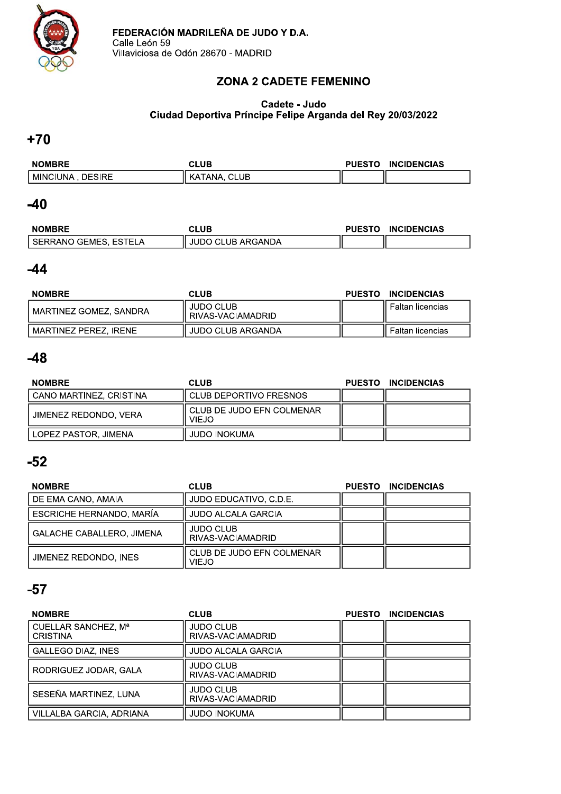

# **ZONA 2 CADETE FEMENINO**

#### Cadete - Judo Ciudad Deportiva Príncipe Felipe Arganda del Rey 20/03/2022

### $+70$

| <b>NOMBRE</b>                | CLUB                         | <b>PUESTO</b> | <b>INCIDENCIAS</b> |
|------------------------------|------------------------------|---------------|--------------------|
| <b>DESIRE</b><br>I MINCIUNA. | <b>CLUB</b><br>™ANA.<br>. KA |               |                    |

### $-40$

| <b>NOMBRE</b>           | CLUB              | <b>PUESTO</b> | <b>INCIDENCIAS</b> |
|-------------------------|-------------------|---------------|--------------------|
| ' SERRANO GEMES, ESTELA | JUDO CLUB ARGANDA |               |                    |

# $-44$

| <b>NOMBRE</b>          | <b>CLUB</b>                      | <b>PUESTO</b> | <b>INCIDENCIAS</b>  |
|------------------------|----------------------------------|---------------|---------------------|
| MARTINEZ GOMEZ, SANDRA | JUDO CLUB<br>  RIVAS-VACIAMADRID |               | II Faltan licencias |
| MARTINEZ PEREZ. IRENE  | JUDO CLUB ARGANDA                |               | Faltan licencias    |

# $-48$

| <b>NOMBRE</b>           | <b>CLUB</b>                                 | PUESTO INCIDENCIAS |
|-------------------------|---------------------------------------------|--------------------|
| CANO MARTINEZ, CRISTINA | l CLUB DEPORTIVO FRESNOS                    |                    |
| l JIMENEZ REDONDO. VERA | l CLUB DE JUDO EFN COLMENAR<br><b>VIEJO</b> |                    |
| l LOPEZ PASTOR. JIMENA  | JUDO INOKUMA                                |                    |

# $-52$

| <b>NOMBRE</b>             | <b>CLUB</b>                               | <b>PUESTO</b> | <b>INCIDENCIAS</b> |
|---------------------------|-------------------------------------------|---------------|--------------------|
| DE EMA CANO, AMAIA        | JUDO EDUCATIVO, C.D.E.                    |               |                    |
| ESCRICHE HERNANDO, MARÍA  | <b>JUDO ALCALA GARCIA</b>                 |               |                    |
| GALACHE CABALLERO, JIMENA | <b>JUDO CLUB</b><br>RIVAS-VACIAMADRID     |               |                    |
| JIMENEZ REDONDO, INES     | CLUB DE JUDO EFN COLMENAR<br><b>VIEJO</b> |               |                    |

| <b>NOMBRE</b>                          | <b>CLUB</b>                           | <b>PUESTO</b> | <b>INCIDENCIAS</b> |
|----------------------------------------|---------------------------------------|---------------|--------------------|
| CUELLAR SANCHEZ, Mª<br><b>CRISTINA</b> | <b>JUDO CLUB</b><br>RIVAS-VACIAMADRID |               |                    |
| <b>GALLEGO DIAZ, INES</b>              | <b>JUDO ALCALA GARCIA</b>             |               |                    |
| RODRIGUEZ JODAR, GALA                  | <b>JUDO CLUB</b><br>RIVAS-VACIAMADRID |               |                    |
| SESEÑA MARTINEZ, LUNA                  | <b>JUDO CLUB</b><br>RIVAS-VACIAMADRID |               |                    |
| VILLALBA GARCIA, ADRIANA               | JUDO INOKUMA                          |               |                    |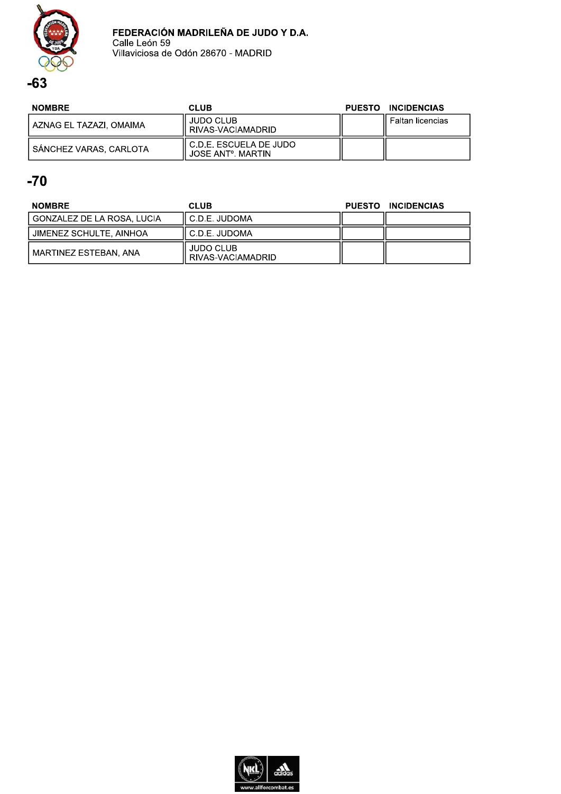

| <b>NOMBRE</b>             | CLUB                                                       | PUESTO INCIDENCIAS  |
|---------------------------|------------------------------------------------------------|---------------------|
| l AZNAG EL TAZAZI. OMAIMA | <b>JUDO CLUB</b><br>I RIVAS-VACIAMADRID                    | Il Faltan licencias |
| SANCHEZ VARAS, CARLOTA    | l C.D.E. ESCUELA DE JUDO<br>JOSE ANT <sup>o</sup> , MARTIN |                     |

| <b>NOMBRE</b>              | <b>CLUB</b>                           | PUESTO INCIDENCIAS |
|----------------------------|---------------------------------------|--------------------|
| GONZALEZ DE LA ROSA, LUCIA | II C.D.E. JUDOMA                      |                    |
| JIMENEZ SCHULTE, AINHOA    | I C.D.E. JUDOMA                       |                    |
| MARTINEZ ESTEBAN, ANA      | <b>JUDO CLUB</b><br>RIVAS-VACIAMADRID |                    |

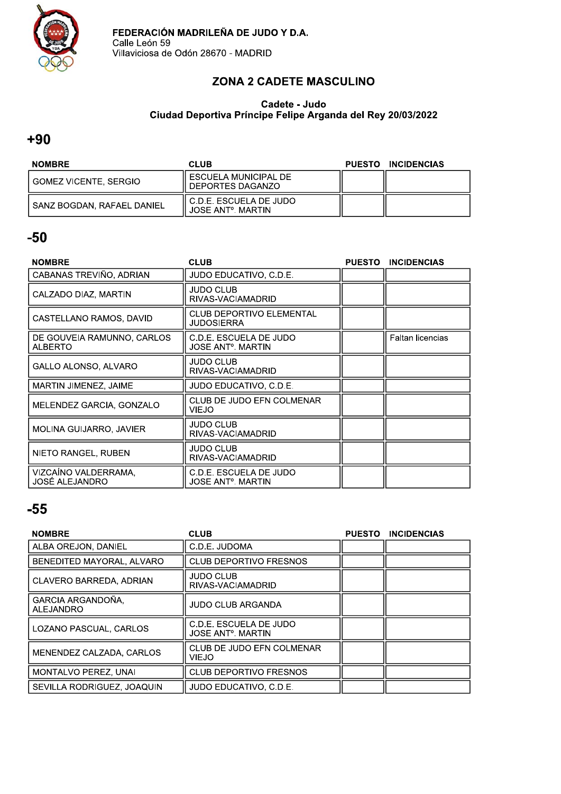

# ZONA 2 CADETE MASCULINO

#### Cadete - Judo<br>Cadete - Judo Cludad Deportiva Principe Felipe Arganda del Rey 20/03/2022

#### $+90$

| <b>NOMBRE</b>              | <b>CLUB</b>                                                 | PUESTO INCIDENCIAS |
|----------------------------|-------------------------------------------------------------|--------------------|
| GOMEZ VICENTE. SERGIO      | I ESCUELA MUNICIPAL DE<br>l DEPORTES DAGANZO                |                    |
| SANZ BOGDAN. RAFAEL DANIEL | II C.D.E. ESCUELA DE JUDO<br>JOSE ANT <sup>o</sup> , MARTIN |                    |

### $-50$

| <b>NOMBRE</b>                                 | <b>CLUB</b>                                                   | <b>PUESTO</b> | <b>INCIDENCIAS</b>      |
|-----------------------------------------------|---------------------------------------------------------------|---------------|-------------------------|
| CABANAS TREVIÑO, ADRIAN                       | JUDO EDUCATIVO, C.D.E.                                        |               |                         |
| CALZADO DIAZ, MARTIN                          | JUDO CLUB<br>RIVAS-VACIAMADRID                                |               |                         |
| CASTELLANO RAMOS, DAVID                       | <b>CLUB DEPORTIVO ELEMENTAL</b><br>JUDOSIERRA                 |               |                         |
| DE GOUVEIA RAMUNNO, CARLOS<br><b>ALBERTO</b>  | C.D.E. ESCUELA DE JUDO<br>JOSE ANTº. MARTIN                   |               | <b>Faltan licencias</b> |
| GALLO ALONSO, ALVARO                          | JUDO CLUB<br>RIVAS-VACIAMADRID                                |               |                         |
| MARTIN JIMENEZ, JAIME                         | JUDO EDUCATIVO. C.D.E.                                        |               |                         |
| MELENDEZ GARCIA, GONZALO                      | CLUB DE JUDO EFN COLMENAR<br><b>VIEJO</b>                     |               |                         |
| MOLINA GUIJARRO, JAVIER                       | <b>JUDO CLUB</b><br>RIVAS-VACIAMADRID                         |               |                         |
| NIETO RANGEL, RUBEN                           | JUDO CLUB<br>RIVAS-VACIAMADRID                                |               |                         |
| VIZCAINO VALDERRAMA,<br><b>JOSÉ ALEJANDRO</b> | C.D.E. ESCUELA DE JUDO<br><b>JOSE ANT<sup>o</sup>. MARTIN</b> |               |                         |

| <b>NOMBRE</b>                         | <b>CLUB</b>                                              | <b>PUESTO</b> | <b>INCIDENCIAS</b> |
|---------------------------------------|----------------------------------------------------------|---------------|--------------------|
| ALBA OREJON, DANIEL                   | C.D.E. JUDOMA                                            |               |                    |
| BENEDITED MAYORAL, ALVARO             | <b>CLUB DEPORTIVO FRESNOS</b>                            |               |                    |
| CLAVERO BARREDA, ADRIAN               | <b>JUDO CLUB</b><br>RIVAS-VACIAMADRID                    |               |                    |
| GARCIA ARGANDOÑA.<br><b>ALEJANDRO</b> | <b>JUDO CLUB ARGANDA</b>                                 |               |                    |
| LOZANO PASCUAL, CARLOS                | C.D.E. ESCUELA DE JUDO<br>JOSE ANT <sup>o</sup> , MARTIN |               |                    |
| MENENDEZ CALZADA, CARLOS              | CLUB DE JUDO EFN COLMENAR<br>VIEJO                       |               |                    |
| <b>MONTALVO PEREZ, UNAI</b>           | <b>CLUB DEPORTIVO FRESNOS</b>                            |               |                    |
| SEVILLA RODRIGUEZ, JOAQUIN            | JUDO EDUCATIVO, C.D.E.                                   |               |                    |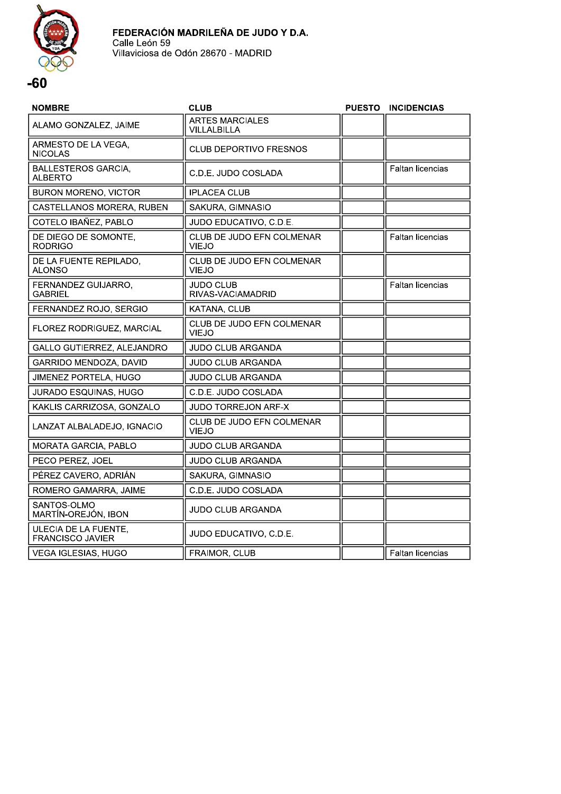

| <b>NOMBRE</b>                                   | <b>CLUB</b>                                      | <b>PUESTO</b> | <b>INCIDENCIAS</b>      |
|-------------------------------------------------|--------------------------------------------------|---------------|-------------------------|
| ALAMO GONZALEZ, JAIME                           | ARTES MARCIALES<br><b>VILLALBILLA</b>            |               |                         |
| ARMESTO DE LA VEGA,<br><b>NICOLAS</b>           | <b>CLUB DEPORTIVO FRESNOS</b>                    |               |                         |
| <b>BALLESTEROS GARCIA,</b><br><b>ALBERTO</b>    | C.D.E. JUDO COSLADA                              |               | <b>Faltan licencias</b> |
| <b>BURON MORENO, VICTOR</b>                     | <b>IPLACEA CLUB</b>                              |               |                         |
| CASTELLANOS MORERA, RUBEN                       | SAKURA, GIMNASIO                                 |               |                         |
| COTELO IBAÑEZ, PABLO                            | JUDO EDUCATIVO, C.D.E.                           |               |                         |
| DE DIEGO DE SOMONTE,<br><b>RODRIGO</b>          | CLUB DE JUDO EFN COLMENAR<br><b>VIEJO</b>        |               | <b>Faltan licencias</b> |
| DE LA FUENTE REPILADO,<br>ALONSO                | CLUB DE JUDO EFN COLMENAR<br><b>VIEJO</b>        |               |                         |
| FERNANDEZ GUIJARRO,<br><b>GABRIEL</b>           | <b>JUDO CLUB</b><br>RIVAS-VACIAMADRID            |               | <b>Faltan licencias</b> |
| FERNANDEZ ROJO, SERGIO                          | KATANA, CLUB                                     |               |                         |
| FLOREZ RODRIGUEZ, MARCIAL                       | CLUB DE JUDO EFN COLMENAR<br><b>VIEJO</b>        |               |                         |
| GALLO GUTIERREZ, ALEJANDRO                      | <b>JUDO CLUB ARGANDA</b>                         |               |                         |
| GARRIDO MENDOZA, DAVID                          | <b>JUDO CLUB ARGANDA</b>                         |               |                         |
| JIMENEZ PORTELA, HUGO                           | <b>JUDO CLUB ARGANDA</b>                         |               |                         |
| <b>JURADO ESQUINAS, HUGO</b>                    | C.D.E. JUDO COSLADA                              |               |                         |
| KAKLIS CARRIZOSA, GONZALO                       | JUDO TORREJON ARF-X                              |               |                         |
| LANZAT ALBALADEJO, IGNACIO                      | <b>CLUB DE JUDO EFN COLMENAR</b><br><b>VIEJO</b> |               |                         |
| MORATA GARCIA, PABLO                            | JUDO CLUB ARGANDA                                |               |                         |
| PECO PEREZ, JOEL                                | <b>JUDO CLUB ARGANDA</b>                         |               |                         |
| PÉREZ CAVERO, ADRIÁN                            | SAKURA, GIMNASIO                                 |               |                         |
| ROMERO GAMARRA, JAIME                           | C.D.E. JUDO COSLADA                              |               |                         |
| SANTOS-OLMO<br>MARTÍN-OREJÓN, IBON              | <b>JUDO CLUB ARGANDA</b>                         |               |                         |
| ULECIA DE LA FUENTE,<br><b>FRANCISCO JAVIER</b> | JUDO EDUCATIVO, C.D.E.                           |               |                         |
| VEGA IGLESIAS, HUGO                             | FRAIMOR, CLUB                                    |               | <b>Faltan licencias</b> |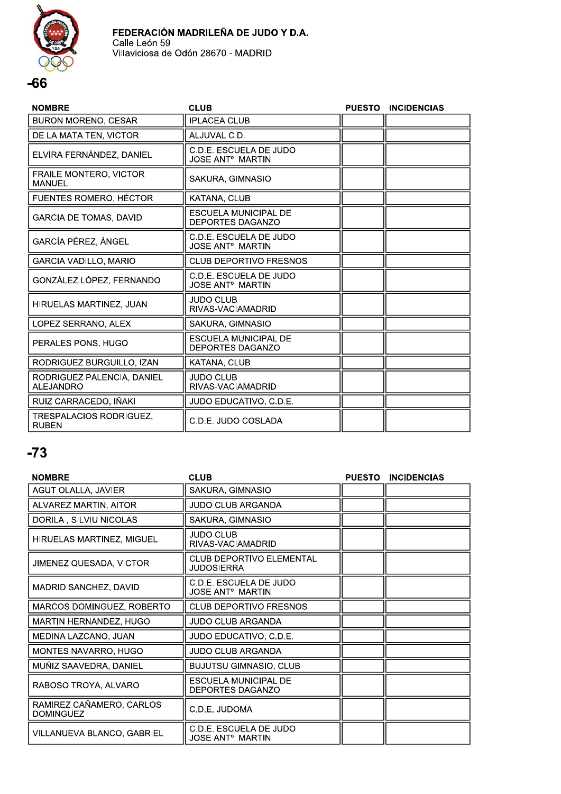

#### **NOMBRE CLUB** PUESTO INCIDENCIAS **BURON MORENO, CESAR IPLACEA CLUB** DE LA MATA TEN, VICTOR ALJUVAL C.D. C.D.E. ESCUELA DE JUDO ELVIRA FERNÁNDEZ, DANIEL **JOSE ANT<sup>o</sup>. MARTIN FRAILE MONTERO, VICTOR** SAKURA, GIMNASIO MANUEL FUENTES ROMERO, HÉCTOR KATANA, CLUB **ESCUELA MUNICIPAL DE GARCIA DE TOMAS, DAVID** DEPORTES DAGANZO C.D.E. ESCUELA DE JUDO **GARCÍA PÉREZ, ÁNGEL JOSE ANT<sup>o</sup>**, MARTIN GARCIA VADILLO, MARIO **CLUB DEPORTIVO FRESNOS** C.D.E. ESCUELA DE JUDO GONZÁLEZ LÓPEZ, FERNANDO **JOSE ANT<sup>o</sup>**. MARTIN **JUDO CLUB** HIRUELAS MARTINEZ, JUAN RIVAS-VACIAMADRID SAKURA, GIMNASIO LOPEZ SERRANO, ALEX **ESCUELA MUNICIPAL DE** PERALES PONS, HUGO DEPORTES DAGANZO RODRIGUEZ BURGUILLO, IZAN KATANA, CLUB

| RODRIGUEZ PALENCIA, DANIEL<br>ALEJANDRO | I JUDO CLUB<br>RIVAS-VACIAMADRID |  |
|-----------------------------------------|----------------------------------|--|
| RUIZ CARRACEDO, IÑAKI                   | JUDO EDUCATIVO, C.D.E.           |  |
| TRESPALACIOS RODRIGUEZ.<br><b>RUBEN</b> | l C.D.E. JUDO COSLADA            |  |

| <b>NOMBRE</b>                                | <b>CLUB</b>                                                   | <b>PUESTO</b> | <b>INCIDENCIAS</b> |
|----------------------------------------------|---------------------------------------------------------------|---------------|--------------------|
| AGUT OLALLA, JAVIER                          | SAKURA, GIMNASIO                                              |               |                    |
| ALVAREZ MARTIN, AITOR                        | JUDO CLUB ARGANDA                                             |               |                    |
| DORILA, SILVIU NICOLAS                       | SAKURA, GIMNASIO                                              |               |                    |
| HIRUELAS MARTINEZ, MIGUEL                    | JUDO CLUB<br>RIVAS-VACIAMADRID                                |               |                    |
| JIMENEZ QUESADA, VICTOR                      | <b>CLUB DEPORTIVO ELEMENTAL</b><br><b>JUDOSIERRA</b>          |               |                    |
| <b>MADRID SANCHEZ, DAVID</b>                 | C.D.E. ESCUELA DE JUDO<br><b>JOSE ANT<sup>o</sup>. MARTIN</b> |               |                    |
| MARCOS DOMINGUEZ, ROBERTO                    | <b>CLUB DEPORTIVO FRESNOS</b>                                 |               |                    |
| MARTIN HERNANDEZ, HUGO                       | <b>JUDO CLUB ARGANDA</b>                                      |               |                    |
| MEDINA LAZCANO, JUAN                         | JUDO EDUCATIVO, C.D.E.                                        |               |                    |
| MONTES NAVARRO, HUGO                         | <b>JUDO CLUB ARGANDA</b>                                      |               |                    |
| MUÑIZ SAAVEDRA, DANIEL                       | <b>BUJUTSU GIMNASIO, CLUB</b>                                 |               |                    |
| RABOSO TROYA, ALVARO                         | ESCUELA MUNICIPAL DE<br><b>DEPORTES DAGANZO</b>               |               |                    |
| RAMIREZ CAÑAMERO, CARLOS<br><b>DOMINGUEZ</b> | C.D.E. JUDOMA                                                 |               |                    |
| VILLANUEVA BLANCO, GABRIEL                   | C.D.E. ESCUELA DE JUDO<br><b>JOSE ANT<sup>o</sup>. MARTIN</b> |               |                    |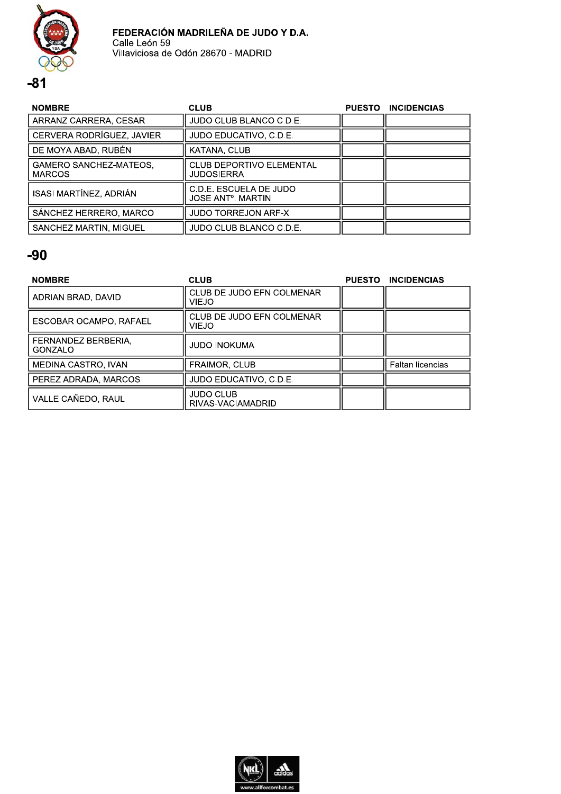

| <b>NOMBRE</b>                                  | <b>CLUB</b>                                                   | <b>PUESTO</b> | <b>INCIDENCIAS</b> |
|------------------------------------------------|---------------------------------------------------------------|---------------|--------------------|
| ARRANZ CARRERA, CESAR                          | JUDO CLUB BLANCO C.D.E.                                       |               |                    |
| CERVERA RODRÍGUEZ, JAVIER                      | JUDO EDUCATIVO, C.D.E.                                        |               |                    |
| DE MOYA ABAD, RUBÉN                            | KATANA, CLUB                                                  |               |                    |
| <b>GAMERO SANCHEZ-MATEOS.</b><br><b>MARCOS</b> | CLUB DEPORTIVO ELEMENTAL<br>JUDOSIERRA                        |               |                    |
| ISASI MARTÍNEZ, ADRIÁN                         | C.D.E. ESCUELA DE JUDO<br><b>JOSE ANT<sup>o</sup>. MARTIN</b> |               |                    |
| SÁNCHEZ HERRERO, MARCO                         | <b>JUDO TORREJON ARF-X</b>                                    |               |                    |
| SANCHEZ MARTIN, MIGUEL                         | JUDO CLUB BLANCO C.D.E.                                       |               |                    |

| <b>NOMBRE</b>                  | <b>CLUB</b>                               | <b>PUESTO</b> | <b>INCIDENCIAS</b> |
|--------------------------------|-------------------------------------------|---------------|--------------------|
| ADRIAN BRAD, DAVID             | CLUB DE JUDO EFN COLMENAR<br><b>VIEJO</b> |               |                    |
| ESCOBAR OCAMPO, RAFAEL         | CLUB DE JUDO EFN COLMENAR<br>VIEJO        |               |                    |
| FERNANDEZ BERBERIA.<br>GONZALO | JUDO INOKUMA                              |               |                    |
| MEDINA CASTRO, IVAN            | <b>FRAIMOR, CLUB</b>                      |               | Faltan licencias   |
| PEREZ ADRADA, MARCOS           | JUDO EDUCATIVO, C.D.E.                    |               |                    |
| VALLE CAÑEDO, RAUL             | <b>JUDO CLUB</b><br>RIVAS-VACIAMADRID     |               |                    |

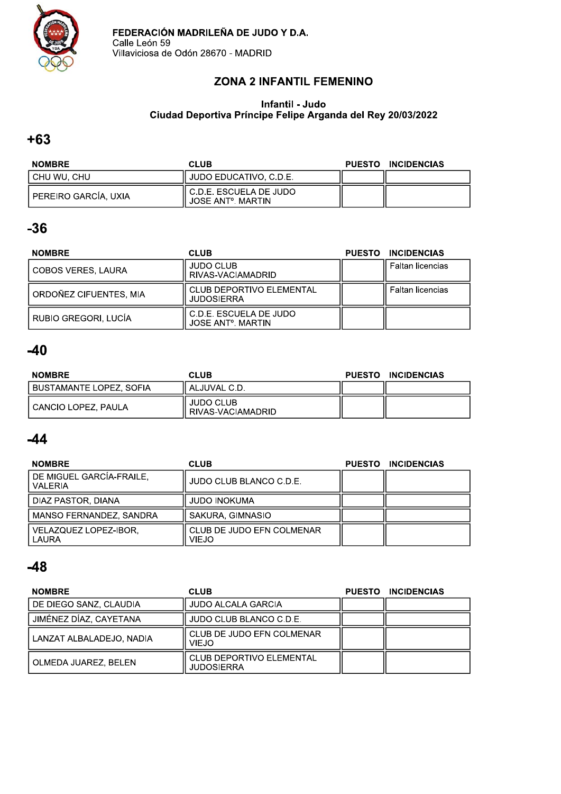

### **ZONA 2 INFANTIL FEMENINO**

#### Infantil - Judo Ciudad Deportiva Príncipe Felipe Arganda del Rey 20/03/2022

### $+63$

| <b>NOMBRE</b>        | CLUB                                                        | PUESTO INCIDENCIAS |
|----------------------|-------------------------------------------------------------|--------------------|
| I CHU WU. CHU        | JUDO EDUCATIVO, C.D.E.                                      |                    |
| PEREIRO GARCÍA, UXIA | ll C.D.E. ESCUELA DE JUDO<br>JOSE ANT <sup>o</sup> , MARTIN |                    |

# $-36$

| <b>NOMBRE</b>          | <b>CLUB</b>                                              | <b>PUESTO</b> | <b>INCIDENCIAS</b> |
|------------------------|----------------------------------------------------------|---------------|--------------------|
| COBOS VERES, LAURA     | <b>JUDO CLUB</b><br>RIVAS-VACIAMADRID                    |               | Faltan licencias   |
| ORDOÑEZ CIFUENTES, MIA | <b>CLUB DEPORTIVO ELEMENTAL</b><br><b>JUDOSIERRA</b>     |               | Faltan licencias   |
| RUBIO GREGORI, LUCÍA   | C.D.E. ESCUELA DE JUDO<br>JOSE ANT <sup>o</sup> , MARTIN |               |                    |

# $-40$

| <b>NOMBRE</b>           | <b>CLUB</b>                           | <b>PUESTO</b> | <b>INCIDENCIAS</b> |
|-------------------------|---------------------------------------|---------------|--------------------|
| BUSTAMANTE LOPEZ, SOFIA | . ALJUVAL C.D.                        |               |                    |
| CANCIO LOPEZ, PAULA     | <b>JUDO CLUB</b><br>RIVAS-VACIAMADRID |               |                    |

# $-44$

| <b>NOMBRE</b>                              | <b>CLUB</b>                               | <b>PUESTO</b> | <b>INCIDENCIAS</b> |
|--------------------------------------------|-------------------------------------------|---------------|--------------------|
| DE MIGUEL GARCÍA-FRAILE,<br><b>VALERIA</b> | JUDO CLUB BLANCO C.D.E.                   |               |                    |
| DIAZ PASTOR, DIANA                         | <b>JUDO INOKUMA</b>                       |               |                    |
| MANSO FERNANDEZ, SANDRA                    | SAKURA, GIMNASIO                          |               |                    |
| VELAZQUEZ LOPEZ-IBOR,<br>LAURA             | CLUB DE JUDO EFN COLMENAR<br><b>VIEJO</b> |               |                    |

| <b>NOMBRE</b>            | <b>CLUB</b>                                          | <b>PUESTO</b> | <b>INCIDENCIAS</b> |
|--------------------------|------------------------------------------------------|---------------|--------------------|
| DE DIEGO SANZ, CLAUDIA   | <b>JUDO ALCALA GARCIA</b>                            |               |                    |
| JIMÉNEZ DÍAZ, CAYETANA   | JUDO CLUB BLANCO C.D.E.                              |               |                    |
| LANZAT ALBALADEJO, NADIA | CLUB DE JUDO EFN COLMENAR<br><b>VIEJO</b>            |               |                    |
| OLMEDA JUAREZ, BELEN     | <b>CLUB DEPORTIVO ELEMENTAL</b><br><b>JUDOSIERRA</b> |               |                    |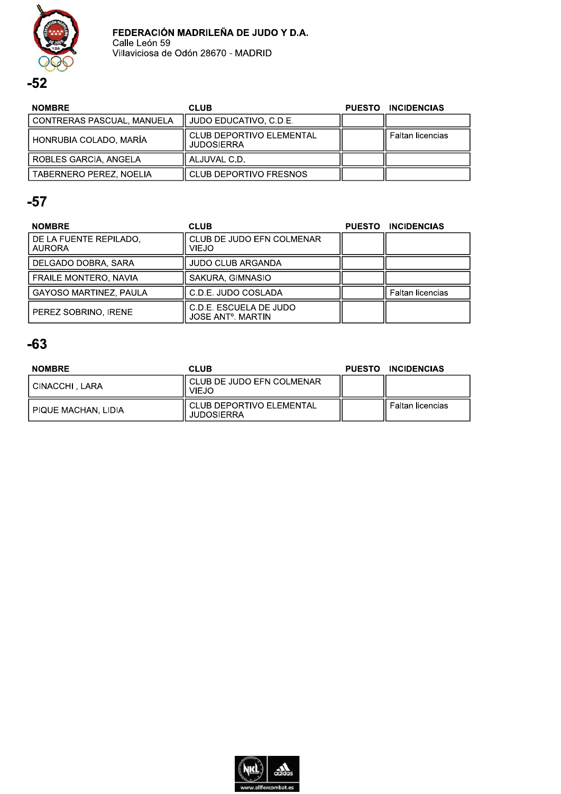

| <b>NOMBRE</b>              | <b>CLUB</b>                                          | PUESTO INCIDENCIAS      |
|----------------------------|------------------------------------------------------|-------------------------|
| CONTRERAS PASCUAL, MANUELA | JUDO EDUCATIVO, C.D.E.                               |                         |
| HONRUBIA COLADO, MARÍA     | <b>CLUB DEPORTIVO ELEMENTAL</b><br><b>JUDOSIERRA</b> | <b>Faltan licencias</b> |
| ROBLES GARCIA, ANGELA      | ALJUVAL C.D.                                         |                         |
| TABERNERO PEREZ, NOELIA    | CLUB DEPORTIVO FRESNOS                               |                         |

# $-57$

| <b>NOMBRE</b>                           | <b>CLUB</b>                                                   | <b>PUESTO</b> | <b>INCIDENCIAS</b>      |
|-----------------------------------------|---------------------------------------------------------------|---------------|-------------------------|
| DE LA FUENTE REPILADO.<br><b>AURORA</b> | CLUB DE JUDO EFN COLMENAR<br>VIEJO                            |               |                         |
| DELGADO DOBRA, SARA                     | <b>JUDO CLUB ARGANDA</b>                                      |               |                         |
| <b>FRAILE MONTERO, NAVIA</b>            | SAKURA, GIMNASIO                                              |               |                         |
| <b>GAYOSO MARTINEZ, PAULA</b>           | C.D.E. JUDO COSLADA                                           |               | <b>Faltan licencias</b> |
| PEREZ SOBRINO. IRENE                    | C.D.E. ESCUELA DE JUDO<br><b>JOSE ANT<sup>o</sup>, MARTIN</b> |               |                         |

| <b>NOMBRE</b>       | <b>CLUB</b>                                     | <b>PUESTO</b> | <b>INCIDENCIAS</b> |
|---------------------|-------------------------------------------------|---------------|--------------------|
| I CINACCHI . LARA   | I CLUB DE JUDO EFN COLMENAR<br><b>VIEJO</b>     |               |                    |
| PIQUE MACHAN, LIDIA | I CLUB DEPORTIVO ELEMENTAL<br><b>JUDOSIERRA</b> |               | Faltan licencias   |

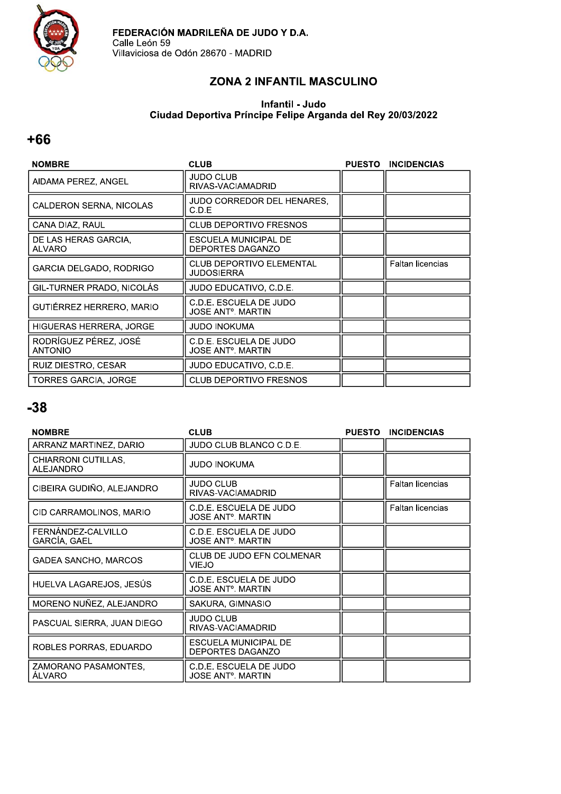

### ZONA 2 INFANTIL MASCULINO

#### Infantil - Judo Ciudad Deportiva Príncipe Felipe Arganda del Rey 20/03/2022

### $+66$

| <b>NOMBRE</b>                           | <b>CLUB</b>                                          | <b>PUESTO</b> | <b>INCIDENCIAS</b> |
|-----------------------------------------|------------------------------------------------------|---------------|--------------------|
| AIDAMA PEREZ, ANGEL                     | JUDO CLUB<br>RIVAS-VACIAMADRID                       |               |                    |
| <b>CALDERON SERNA, NICOLAS</b>          | JUDO CORREDOR DEL HENARES,<br>C.D.E                  |               |                    |
| CANA DIAZ, RAUL                         | <b>CLUB DEPORTIVO FRESNOS</b>                        |               |                    |
| DE LAS HERAS GARCIA,<br><b>ALVARO</b>   | ESCUELA MUNICIPAL DE<br><b>DEPORTES DAGANZO</b>      |               |                    |
| GARCIA DELGADO, RODRIGO                 | <b>CLUB DEPORTIVO ELEMENTAL</b><br><b>JUDOSIERRA</b> |               | Faltan licencias   |
| GIL-TURNER PRADO, NICOLÁS               | JUDO EDUCATIVO, C.D.E.                               |               |                    |
| GUTIÉRREZ HERRERO, MARIO                | C.D.E. ESCUELA DE JUDO<br>JOSE ANTº. MARTIN          |               |                    |
| <b>HIGUERAS HERRERA, JORGE</b>          | JUDO INOKUMA                                         |               |                    |
| RODRÍGUEZ PÉREZ, JOSÉ<br><b>ANTONIO</b> | C.D.E. ESCUELA DE JUDO<br>JOSE ANTº. MARTIN          |               |                    |
| RUIZ DIESTRO, CESAR                     | JUDO EDUCATIVO, C.D.E.                               |               |                    |
| <b>TORRES GARCIA, JORGE</b>             | <b>CLUB DEPORTIVO FRESNOS</b>                        |               |                    |

| <b>NOMBRE</b>                           | <b>CLUB</b>                                        | <b>PUESTO</b> | <b>INCIDENCIAS</b>      |
|-----------------------------------------|----------------------------------------------------|---------------|-------------------------|
| ARRANZ MARTINEZ, DARIO                  | JUDO CLUB BLANCO C.D.E.                            |               |                         |
| CHIARRONI CUTILLAS,<br><b>ALEJANDRO</b> | JUDO INOKUMA                                       |               |                         |
| CIBEIRA GUDIÑO, ALEJANDRO               | <b>JUDO CLUB</b><br>RIVAS-VACIAMADRID              |               | <b>Faltan licencias</b> |
| CID CARRAMOLINOS, MARIO                 | C.D.E. ESCUELA DE JUDO<br>JOSE ANTº. MARTIN        |               | <b>Faltan licencias</b> |
| FERNÁNDEZ-CALVILLO<br>GARCÍA, GAEL      | C.D.E. ESCUELA DE JUDO<br>JOSE ANTº. MARTIN        |               |                         |
| <b>GADEA SANCHO, MARCOS</b>             | CLUB DE JUDO EFN COLMENAR<br>VIEJO                 |               |                         |
| HUELVA LAGAREJOS, JESÚS                 | C.D.E. ESCUELA DE JUDO<br>JOSE ANTº. MARTIN        |               |                         |
| MORENO NUÑEZ, ALEJANDRO                 | SAKURA, GIMNASIO                                   |               |                         |
| PASCUAL SIERRA, JUAN DIEGO              | JUDO CLUB<br>RIVAS-VACIAMADRID                     |               |                         |
| ROBLES PORRAS, EDUARDO                  | ESCUELA MUNICIPAL DE<br>DEPORTES DAGANZO           |               |                         |
| ZAMORANO PASAMONTES,<br><b>ALVARO</b>   | C.D.E. ESCUELA DE JUDO<br><b>JOSE ANT°. MARTIN</b> |               |                         |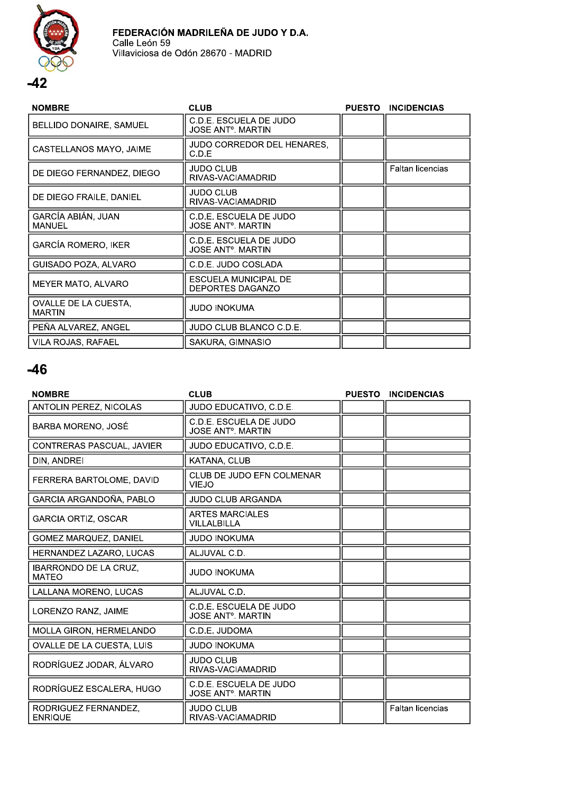

| <b>NOMBRE</b>                         | <b>CLUB</b>                                                   | <b>PUESTO</b> | <b>INCIDENCIAS</b>      |
|---------------------------------------|---------------------------------------------------------------|---------------|-------------------------|
| BELLIDO DONAIRE, SAMUEL               | C.D.E. ESCUELA DE JUDO<br>JOSE ANTº. MARTIN                   |               |                         |
| CASTELLANOS MAYO, JAIME               | JUDO CORREDOR DEL HENARES.<br>C.D.E                           |               |                         |
| DE DIEGO FERNANDEZ, DIEGO             | JUDO CLUB<br>RIVAS-VACIAMADRID                                |               | <b>Faltan licencias</b> |
| DE DIEGO FRAILE, DANIEL               | JUDO CLUB<br>RIVAS-VACIAMADRID                                |               |                         |
| GARCÍA ABIÁN, JUAN<br><b>MANUEL</b>   | C.D.E. ESCUELA DE JUDO<br><b>JOSE ANT<sup>o</sup>. MARTIN</b> |               |                         |
| <b>GARCÍA ROMERO, IKER</b>            | C.D.E. ESCUELA DE JUDO<br>JOSE ANTº. MARTIN                   |               |                         |
| GUISADO POZA, ALVARO                  | C.D.E. JUDO COSLADA                                           |               |                         |
| <b>MEYER MATO, ALVARO</b>             | ESCUELA MUNICIPAL DE<br><b>DEPORTES DAGANZO</b>               |               |                         |
| OVALLE DE LA CUESTA,<br><b>MARTIN</b> | JUDO INOKUMA                                                  |               |                         |
| PEÑA ALVAREZ, ANGEL                   | JUDO CLUB BLANCO C.D.E.                                       |               |                         |
| <b>VILA ROJAS, RAFAEL</b>             | SAKURA, GIMNASIO                                              |               |                         |

| <b>NOMBRE</b>                                | <b>CLUB</b>                                                    | <b>PUESTO</b> | <b>INCIDENCIAS</b>      |
|----------------------------------------------|----------------------------------------------------------------|---------------|-------------------------|
| ANTOLIN PEREZ, NICOLAS                       | JUDO EDUCATIVO, C.D.E.                                         |               |                         |
| BARBA MORENO, JOSÉ                           | C.D.E. ESCUELA DE JUDO<br><b>JOSE ANT<sup>o</sup>. MARTIN</b>  |               |                         |
| CONTRERAS PASCUAL, JAVIER                    | JUDO EDUCATIVO, C.D.E.                                         |               |                         |
| DIN, ANDREI                                  | KATANA, CLUB                                                   |               |                         |
| FERRERA BARTOLOME, DAVID                     | CLUB DE JUDO EFN COLMENAR<br><b>VIEJO</b>                      |               |                         |
| GARCIA ARGANDOÑA, PABLO                      | <b>JUDO CLUB ARGANDA</b>                                       |               |                         |
| <b>GARCIA ORTIZ, OSCAR</b>                   | <b>ARTES MARCIALES</b><br>VILLALBILLA                          |               |                         |
| <b>GOMEZ MARQUEZ, DANIEL</b>                 | <b>JUDO INOKUMA</b>                                            |               |                         |
| HERNANDEZ LAZARO, LUCAS                      | ALJUVAL C.D.                                                   |               |                         |
| <b>IBARRONDO DE LA CRUZ,</b><br><b>MATEO</b> | <b>JUDO INOKUMA</b>                                            |               |                         |
| LALLANA MORENO, LUCAS                        | ALJUVAL C.D.                                                   |               |                         |
| LORENZO RANZ, JAIME                          | C.D.E. ESCUELA DE JUDO<br><b>JOSE ANT<sup>o</sup></b> . MARTIN |               |                         |
| MOLLA GIRON, HERMELANDO                      | C.D.E. JUDOMA                                                  |               |                         |
| OVALLE DE LA CUESTA, LUIS                    | <b>JUDO INOKUMA</b>                                            |               |                         |
| RODRÍGUEZ JODAR, ÁLVARO                      | JUDO CLUB<br>RIVAS-VACIAMADRID                                 |               |                         |
| RODRÍGUEZ ESCALERA, HUGO                     | C.D.E. ESCUELA DE JUDO<br><b>JOSE ANT<sup>o</sup>. MARTIN</b>  |               |                         |
| RODRIGUEZ FERNANDEZ,<br><b>ENRIQUE</b>       | JUDO CLUB<br>RIVAS-VACIAMADRID                                 |               | <b>Faltan licencias</b> |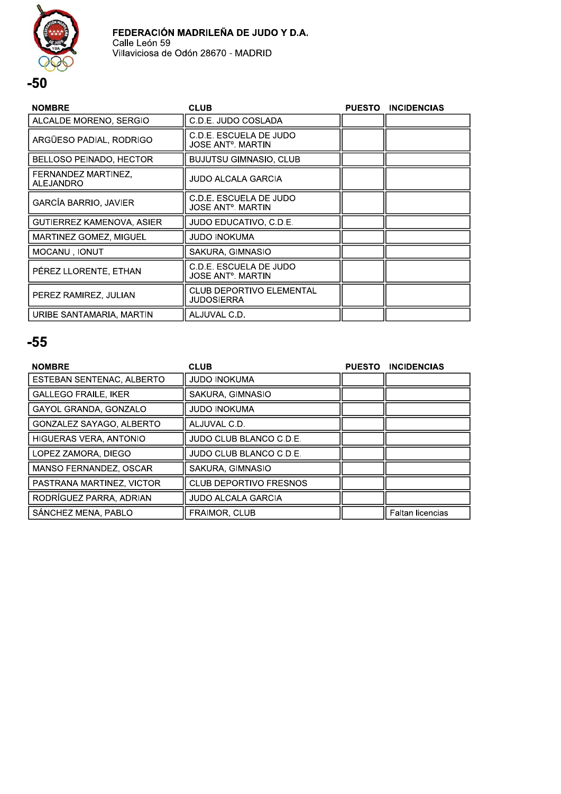



| <b>NOMBRE</b>                    | <b>CLUB</b>                                   | <b>PUESTO</b> | <b>INCIDENCIAS</b> |
|----------------------------------|-----------------------------------------------|---------------|--------------------|
| ALCALDE MORENO, SERGIO           | C.D.E. JUDO COSLADA                           |               |                    |
| ARGÜESO PADIAL, RODRIGO          | C.D.E. ESCUELA DE JUDO<br>JOSE ANTº. MARTIN   |               |                    |
| BELLOSO PEINADO, HECTOR          | BUJUTSU GIMNASIO, CLUB                        |               |                    |
| FERNANDEZ MARTINEZ,<br>ALEJANDRO | JUDO ALCALA GARCIA                            |               |                    |
| <b>GARCÍA BARRIO, JAVIER</b>     | C.D.E. ESCUELA DE JUDO<br>JOSE ANTº. MARTIN   |               |                    |
| GUTIERREZ KAMENOVA, ASIER        | JUDO EDUCATIVO. C.D.E.                        |               |                    |
| MARTINEZ GOMEZ, MIGUEL           | JUDO INOKUMA                                  |               |                    |
| MOCANU, IONUT                    | SAKURA, GIMNASIO                              |               |                    |
| PÉREZ LLORENTE, ETHAN            | C.D.E. ESCUELA DE JUDO<br>JOSE ANTº. MARTIN   |               |                    |
| PEREZ RAMIREZ, JULIAN            | <b>CLUB DEPORTIVO ELEMENTAL</b><br>JUDOSIERRA |               |                    |
| URIBE SANTAMARIA, MARTIN         | ALJUVAL C.D.                                  |               |                    |

| <b>NOMBRE</b>                | <b>CLUB</b>                   | <b>PUESTO</b> | <b>INCIDENCIAS</b>      |
|------------------------------|-------------------------------|---------------|-------------------------|
| ESTEBAN SENTENAC, ALBERTO    | <b>JUDO INOKUMA</b>           |               |                         |
| <b>GALLEGO FRAILE, IKER</b>  | SAKURA, GIMNASIO              |               |                         |
| <b>GAYOL GRANDA, GONZALO</b> | <b>JUDO INOKUMA</b>           |               |                         |
| GONZALEZ SAYAGO, ALBERTO     | ALJUVAL C.D.                  |               |                         |
| HIGUERAS VERA, ANTONIO       | JUDO CLUB BLANCO C.D.E.       |               |                         |
| LOPEZ ZAMORA, DIEGO          | JUDO CLUB BLANCO C.D.E.       |               |                         |
| MANSO FERNANDEZ, OSCAR       | SAKURA, GIMNASIO              |               |                         |
| PASTRANA MARTINEZ, VICTOR    | <b>CLUB DEPORTIVO FRESNOS</b> |               |                         |
| RODRIGUEZ PARRA, ADRIAN      | <b>JUDO ALCALA GARCIA</b>     |               |                         |
| SÁNCHEZ MENA, PABLO          | <b>FRAIMOR, CLUB</b>          |               | <b>Faltan licencias</b> |